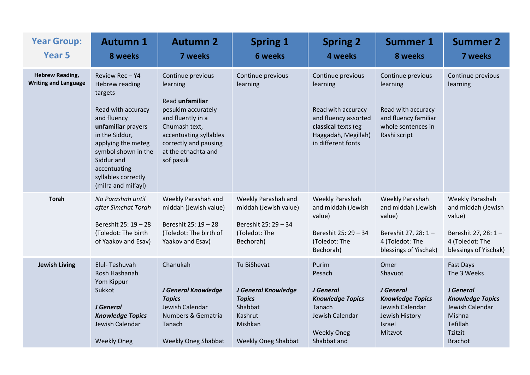| <b>Year Group:</b><br><b>Year 5</b>                   | <b>Autumn 1</b><br>8 weeks                                                                                                                                                                                                                       | <b>Autumn 2</b><br>7 weeks                                                                                                                                                                          | <b>Spring 1</b><br><b>6 weeks</b>                                                                                  | <b>Spring 2</b><br>4 weeks                                                                                                                      | <b>Summer 1</b><br>8 weeks                                                                                                | <b>Summer 2</b><br>7 weeks                                                                                                                    |
|-------------------------------------------------------|--------------------------------------------------------------------------------------------------------------------------------------------------------------------------------------------------------------------------------------------------|-----------------------------------------------------------------------------------------------------------------------------------------------------------------------------------------------------|--------------------------------------------------------------------------------------------------------------------|-------------------------------------------------------------------------------------------------------------------------------------------------|---------------------------------------------------------------------------------------------------------------------------|-----------------------------------------------------------------------------------------------------------------------------------------------|
| <b>Hebrew Reading,</b><br><b>Writing and Language</b> | Review Rec-Y4<br>Hebrew reading<br>targets<br>Read with accuracy<br>and fluency<br>unfamiliar prayers<br>in the Siddur,<br>applying the meteg<br>symbol shown in the<br>Siddur and<br>accentuating<br>syllables correctly<br>(milra and mil'ayl) | Continue previous<br>learning<br>Read unfamiliar<br>pesukim accurately<br>and fluently in a<br>Chumash text,<br>accentuating syllables<br>correctly and pausing<br>at the etnachta and<br>sof pasuk | Continue previous<br>learning                                                                                      | Continue previous<br>learning<br>Read with accuracy<br>and fluency assorted<br>classical texts (eg<br>Haggadah, Megillah)<br>in different fonts | Continue previous<br>learning<br>Read with accuracy<br>and fluency familiar<br>whole sentences in<br>Rashi script         | Continue previous<br>learning                                                                                                                 |
| <b>Torah</b>                                          | No Parashah until<br>after Simchat Torah<br>Bereshit 25: 19 - 28<br>(Toledot: The birth<br>of Yaakov and Esav)                                                                                                                                   | Weekly Parashah and<br>middah (Jewish value)<br>Bereshit 25: 19 - 28<br>(Toledot: The birth of<br>Yaakov and Esav)                                                                                  | Weekly Parashah and<br>middah (Jewish value)<br>Bereshit 25: 29 - 34<br>(Toledot: The<br>Bechorah)                 | Weekly Parashah<br>and middah (Jewish<br>value)<br>Bereshit 25: 29 - 34<br>(Toledot: The<br>Bechorah)                                           | <b>Weekly Parashah</b><br>and middah (Jewish<br>value)<br>Bereshit 27, 28: 1-<br>4 (Toledot: The<br>blessings of Yischak) | Weekly Parashah<br>and middah (Jewish<br>value)<br>Bereshit 27, 28: 1-<br>4 (Toledot: The<br>blessings of Yischak)                            |
| <b>Jewish Living</b>                                  | Elul-Teshuvah<br>Rosh Hashanah<br>Yom Kippur<br>Sukkot<br>J General<br><b>Knowledge Topics</b><br>Jewish Calendar<br><b>Weekly Oneg</b>                                                                                                          | Chanukah<br>J General Knowledge<br><b>Topics</b><br>Jewish Calendar<br>Numbers & Gematria<br>Tanach<br><b>Weekly Oneg Shabbat</b>                                                                   | Tu BiShevat<br>J General Knowledge<br><b>Topics</b><br>Shabbat<br>Kashrut<br>Mishkan<br><b>Weekly Oneg Shabbat</b> | Purim<br>Pesach<br>J General<br><b>Knowledge Topics</b><br>Tanach<br>Jewish Calendar<br><b>Weekly Oneg</b><br>Shabbat and                       | Omer<br>Shavuot<br>J General<br><b>Knowledge Topics</b><br>Jewish Calendar<br>Jewish History<br>Israel<br>Mitzvot         | <b>Fast Days</b><br>The 3 Weeks<br>J General<br><b>Knowledge Topics</b><br>Jewish Calendar<br>Mishna<br>Tefillah<br>Tzitzit<br><b>Brachot</b> |